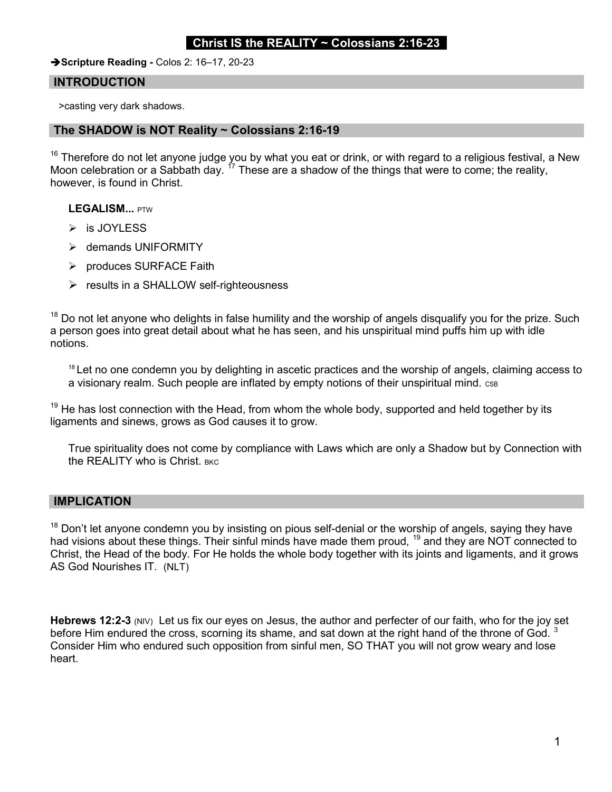## Christ IS the REALITY  $\sim$  Colossians 2:16-23

Scripture Reading - Colos 2: 16-17, 20-23

### INTRODUCTION

>casting very dark shadows.

#### The SHADOW is NOT Reality ~ Colossians 2:16-19

 $16$  Therefore do not let anyone judge you by what you eat or drink, or with regard to a religious festival, a New Moon celebration or a Sabbath day. <sup>17</sup> These are a shadow of the things that were to come; the reality, however, is found in Christ.

LEGALISM... PTW

- $\triangleright$  is JOYLESS
- demands UNIFORMITY
- $\triangleright$  produces SURFACE Faith
- $\triangleright$  results in a SHALLOW self-righteousness

 $18$  Do not let anyone who delights in false humility and the worship of angels disqualify you for the prize. Such a person goes into great detail about what he has seen, and his unspiritual mind puffs him up with idle notions.

<sup>18</sup> Let no one condemn you by delighting in ascetic practices and the worship of angels, claiming access to a visionary realm. Such people are inflated by empty notions of their unspiritual mind. CSB

 $19$  He has lost connection with the Head, from whom the whole body, supported and held together by its ligaments and sinews, grows as God causes it to grow.

True spirituality does not come by compliance with Laws which are only a Shadow but by Connection with the REALITY who is Christ. BKC

#### IMPLICATION

 $18$  Don't let anyone condemn you by insisting on pious self-denial or the worship of angels, saying they have had visions about these things. Their sinful minds have made them proud, <sup>19</sup> and they are NOT connected to Christ, the Head of the body. For He holds the whole body together with its joints and ligaments, and it grows AS God Nourishes IT. (NLT)

Hebrews 12:2-3 (NIV) Let us fix our eyes on Jesus, the author and perfecter of our faith, who for the joy set before Him endured the cross, scorning its shame, and sat down at the right hand of the throne of God.  $3$ Consider Him who endured such opposition from sinful men, SO THAT you will not grow weary and lose heart.